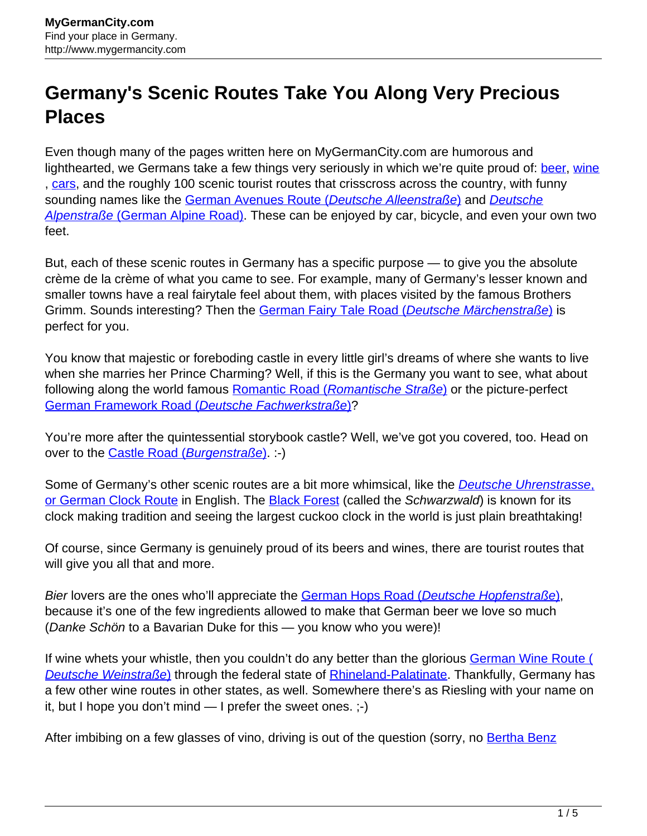## **Germany's Scenic Routes Take You Along Very Precious Places**

Even though many of the pages written here on MyGermanCity.com are humorous and lighthearted, we Germans take a few things very seriously in which we're quite proud of: [beer](http://www.mygermancity.com/german-beer), [wine](http://www.mygermancity.com/german-wine) , [cars,](http://www.mygermancity.com/german-cars) and the roughly 100 scenic tourist routes that crisscross across the country, with funny sounding names like the [German Avenues Route \(](http://www.mygermancity.com/german-avenues-route)[Deutsche Alleenstraße](http://www.mygermancity.com/german-avenues-route)[\)](http://www.mygermancity.com/german-avenues-route) and [Deutsche](http://www.mygermancity.com/german-alpine-road) [Alpenstraße](http://www.mygermancity.com/german-alpine-road) [\(German Alpine Road\).](http://www.mygermancity.com/german-alpine-road) These can be enjoyed by car, bicycle, and even your own two feet.

But, each of these scenic routes in Germany has a specific purpose — to give you the absolute crème de la crème of what you came to see. For example, many of Germany's lesser known and smaller towns have a real fairytale feel about them, with places visited by the famous Brothers Grimm. Sounds interesting? Then the [German Fairy Tale Road \(](http://www.mygermancity.com/german-fairy-tale-road)[Deutsche Märchenstraße](http://www.mygermancity.com/german-fairy-tale-road)[\)](http://www.mygermancity.com/german-fairy-tale-road) is perfect for you.

You know that majestic or foreboding castle in every little girl's dreams of where she wants to live when she marries her Prince Charming? Well, if this is the Germany you want to see, what about following along the world famous [Romantic Road \(](http://www.mygermancity.com/romantic-road)[Romantische Straße](http://www.mygermancity.com/romantic-road)[\)](http://www.mygermancity.com/romantic-road) or the picture-perfect [German Framework Road \(](http://www.mygermancity.com/german-framework-road)[Deutsche Fachwerkstraße](http://www.mygermancity.com/german-framework-road)[\)?](http://www.mygermancity.com/german-framework-road)

You're more after the quintessential storybook castle? Well, we've got you covered, too. Head on over to the [Castle Road \(](http://www.mygermancity.com/castle-road)[Burgenstraße](http://www.mygermancity.com/castle-road)[\).](http://www.mygermancity.com/castle-road) :-)

Some of Germany's other scenic routes are a bit more whimsical[,](http://www.mygermancity.com/german-clock-route) like the *[Deutsche Uhrenstrasse](http://www.mygermancity.com/german-clock-route)*, [or German Clock Route](http://www.mygermancity.com/german-clock-route) in English. The [Black Forest](http://www.mygermancity.com/black-forest) (called the Schwarzwald) is known for its clock making tradition and seeing the largest cuckoo clock in the world is just plain breathtaking!

Of course, since Germany is genuinely proud of its beers and wines, there are tourist routes that will give you all that and more.

Bier lovers are the ones who'll appreciate the [German Hops Road \(](http://www.mygermancity.com/german-hops-road)[Deutsche Hopfenstraße](http://www.mygermancity.com/german-hops-road)[\)](http://www.mygermancity.com/german-hops-road), because it's one of the few ingredients allowed to make that German beer we love so much (Danke Schön to a Bavarian Duke for this — you know who you were)!

If wine whets your whistle, then you couldn't do any better than the glorious [German Wine Route \(](http://www.mygermancity.com/german-wine-route) **[Deutsche Weinstraße](http://www.mygermancity.com/german-wine-route))** through the federal state of **[Rhineland-Palatinate](http://www.mygermancity.com/rhineland-palatinate)**. Thankfully, Germany has a few other wine routes in other states, as well. Somewhere there's as Riesling with your name on it, but I hope you don't mind — I prefer the sweet ones. ;-)

After imbibing on a few glasses of vino, driving is out of the question (sorry, no [Bertha Benz](http://www.mygermancity.com/bertha-benz-memorial-route)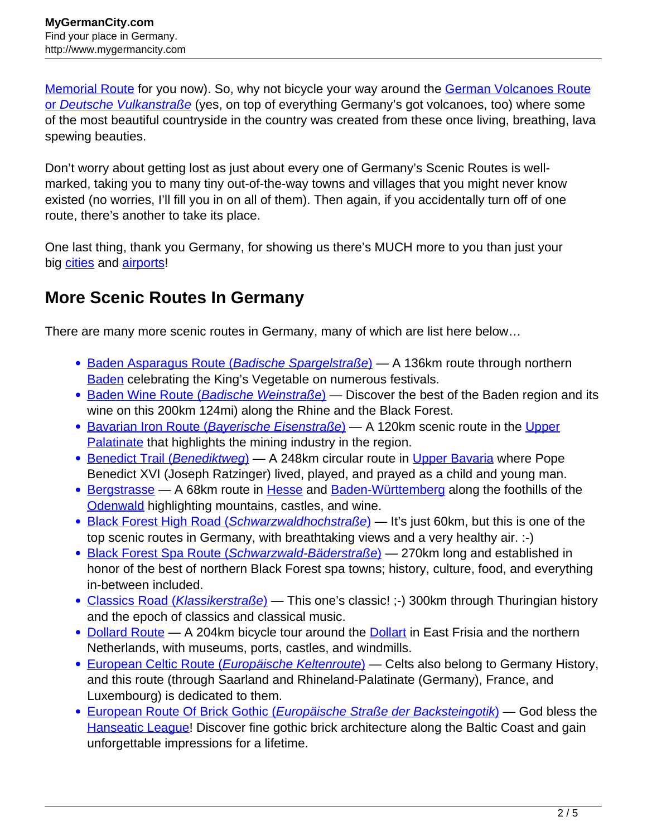[Memorial Route](http://www.mygermancity.com/bertha-benz-memorial-route) for you now). So, why not bicycle your way around the [German Volcanoes Route](http://www.mygermancity.com/german-volcanoes-route) [or](http://www.mygermancity.com/german-volcanoes-route) [Deutsche Vulkanstraße](http://www.mygermancity.com/german-volcanoes-route) (yes, on top of everything Germany's got volcanoes, too) where some of the most beautiful countryside in the country was created from these once living, breathing, lava spewing beauties.

Don't worry about getting lost as just about every one of Germany's Scenic Routes is wellmarked, taking you to many tiny out-of-the-way towns and villages that you might never know existed (no worries, I'll fill you in on all of them). Then again, if you accidentally turn off of one route, there's another to take its place.

One last thing, thank you Germany, for showing us there's MUCH more to you than just your big [cities](http://www.mygermancity.com/german-cities) and [airports!](http://www.mygermancity.com/airports-in-germany)

## **More Scenic Routes In Germany**

There are many more scenic routes in Germany, many of which are list here below…

- [Baden Asparagus Route \(](http://www.mygermancity.com/baden-asparagus-route)[Badische Spargelstraße](http://www.mygermancity.com/baden-asparagus-route)[\)](http://www.mygermancity.com/baden-asparagus-route)  A 136km route through northern [Baden](http://www.mygermancity.com/baden) celebrating the King's Vegetable on numerous festivals.
- [Baden Wine Route \(](http://www.mygermancity.com/baden-wine-route)[Badische Weinstraße](http://www.mygermancity.com/baden-wine-route)[\)](http://www.mygermancity.com/baden-wine-route)  Discover the best of the Baden region and its wine on this 200km 124mi) along the Rhine and the Black Forest.
- [Bavarian Iron Route \(](http://www.mygermancity.com/bavarian-iron-route)[Bayerische Eisenstraße](http://www.mygermancity.com/bavarian-iron-route)[\)](http://www.mygermancity.com/bavarian-iron-route) A 120km scenic route in the [Upper](http://www.mygermancity.com/upper-palatinate) [Palatinate](http://www.mygermancity.com/upper-palatinate) that highlights the mining industry in the region.
- [Benedict Trail \(](http://www.mygermancity.com/benedict-trail)[Benediktweg](http://www.mygermancity.com/benedict-trail)[\)](http://www.mygermancity.com/benedict-trail)  A 248km circular route in [Upper Bavaria](http://www.mygermancity.com/upper-bavaria) where Pope Benedict XVI (Joseph Ratzinger) lived, played, and prayed as a child and young man.
- [Bergstrasse](http://www.mygermancity.com/bergstrasse)  A 68km route in [Hesse](http://www.mygermancity.com/hesse) and [Baden-Württemberg](http://www.mygermancity.com/baden-wuerttemberg) along the foothills of the [Odenwald](http://www.mygermancity.com/odenwald) highlighting mountains, castles, and wine.
- [Black Forest High Road \(](http://www.mygermancity.com/black-forest-high-road)[Schwarzwaldhochstraße](http://www.mygermancity.com/black-forest-high-road)[\)](http://www.mygermancity.com/black-forest-high-road) It's just 60km, but this is one of the top scenic routes in Germany, with breathtaking views and a very healthy air. :-)
- [Black Forest Spa Route \(](http://www.mygermancity.com/black-forest-spa-route)[Schwarzwald-Bäderstraße](http://www.mygermancity.com/black-forest-spa-route)[\)](http://www.mygermancity.com/black-forest-spa-route) 270km long and established in honor of the best of northern Black Forest spa towns; history, culture, food, and everything in-between included.
- [Classics Road \(](http://www.mygermancity.com/classics-road)[Klassikerstraße](http://www.mygermancity.com/classics-road)[\)](http://www.mygermancity.com/classics-road) This one's classic! :-) 300km through Thuringian history and the epoch of classics and classical music.
- [Dollard Route](http://www.mygermancity.com/dollard-route)  A 204km bicycle tour around the [Dollart](http://www.mygermancity.com/dollart) in East Frisia and the northern Netherlands, with museums, ports, castles, and windmills.
- [European Celtic Route \(](http://www.mygermancity.com/european-celtic-route)*[Europäische Keltenroute](http://www.mygermancity.com/european-celtic-route)*[\)](http://www.mygermancity.com/european-celtic-route)  Celts also belong to Germany History, and this route (through Saarland and Rhineland-Palatinate (Germany), France, and Luxembourg) is dedicated to them.
- [European Route Of Brick Gothic \(](http://www.mygermancity.com/european-route-of-brick-gothic)[Europäische Straße der Backsteingotik](http://www.mygermancity.com/european-route-of-brick-gothic)[\)](http://www.mygermancity.com/european-route-of-brick-gothic)  God bless the [Hanseatic League](http://www.mygermancity.com/hanseatic-league)! Discover fine gothic brick architecture along the Baltic Coast and gain unforgettable impressions for a lifetime.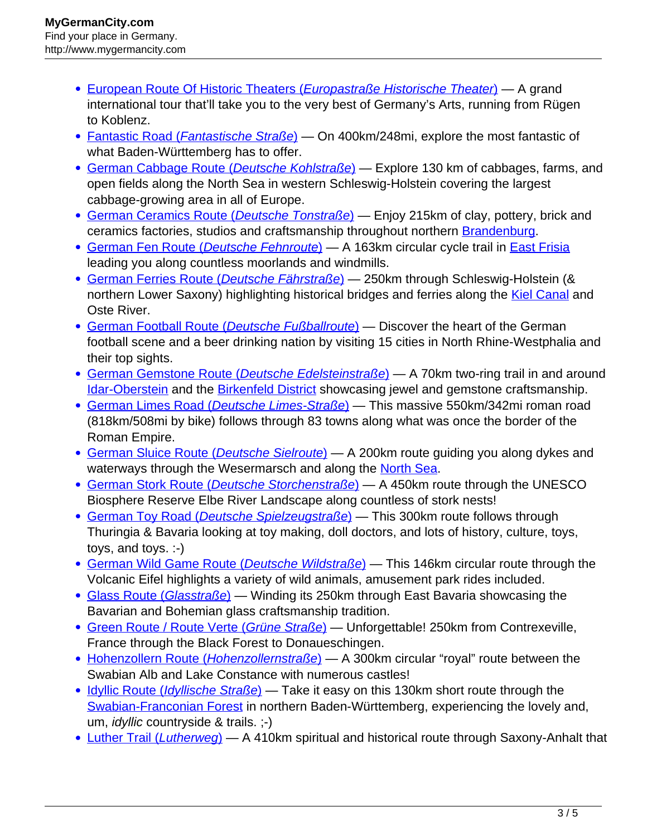- [European Route Of Historic Theaters \(](http://www.mygermancity.com/european-route-of-historic-theaters)[Europastraße Historische Theater](http://www.mygermancity.com/european-route-of-historic-theaters)[\)](http://www.mygermancity.com/european-route-of-historic-theaters) A grand international tour that'll take you to the very best of Germany's Arts, running from Rügen to Koblenz.
- [Fantastic Road \(](http://www.mygermancity.com/fantastic-road)[Fantastische Straße](http://www.mygermancity.com/fantastic-road)[\)](http://www.mygermancity.com/fantastic-road)  On 400km/248mi, explore the most fantastic of what Baden-Württemberg has to offer.
- [German Cabbage Route \(](http://www.mygermancity.com/german-cabbage-route)[Deutsche Kohlstraße](http://www.mygermancity.com/german-cabbage-route)[\)](http://www.mygermancity.com/german-cabbage-route)  Explore 130 km of cabbages, farms, and open fields along the North Sea in western Schleswig-Holstein covering the largest cabbage-growing area in all of Europe.
- [German Ceramics Route \(](http://www.mygermancity.com/german-ceramics-route)[Deutsche Tonstraße](http://www.mygermancity.com/german-ceramics-route)[\)](http://www.mygermancity.com/german-ceramics-route) Enjoy 215km of clay, pottery, brick and ceramics factories, studios and craftsmanship throughout northern **Brandenburg**.
- [German Fen Route \(](http://www.mygermancity.com/german-fen-route)[Deutsche Fehnroute](http://www.mygermancity.com/german-fen-route)[\)](http://www.mygermancity.com/german-fen-route) A 163km circular cycle trail in [East Frisia](http://www.mygermancity.com/east-frisia) leading you along countless moorlands and windmills.
- [German Ferries Route \(](http://www.mygermancity.com/german-ferries-route)[Deutsche Fährstraße](http://www.mygermancity.com/german-ferries-route)[\)](http://www.mygermancity.com/german-ferries-route)  250km through Schleswig-Holstein (& northern Lower Saxony) highlighting historical bridges and ferries along the **Kiel Canal** and Oste River.
- [German Football Route \(](http://www.mygermancity.com/german-football-route)[Deutsche Fußballroute](http://www.mygermancity.com/german-football-route)[\)](http://www.mygermancity.com/german-football-route)  Discover the heart of the German football scene and a beer drinking nation by visiting 15 cities in North Rhine-Westphalia and their top sights.
- [German Gemstone Route \(](http://www.mygermancity.com/german-gemstone-route)[Deutsche Edelsteinstraße](http://www.mygermancity.com/german-gemstone-route)[\)](http://www.mygermancity.com/german-gemstone-route)  A 70km two-ring trail in and around **[Idar-Oberstein](http://www.mygermancity.com/idar-oberstein) and the [Birkenfeld District](http://www.mygermancity.com/birkenfeld-district) showcasing jewel and gemstone craftsmanship.**
- [German Limes Road \(](http://www.mygermancity.com/german-limes-road)[Deutsche Limes-Straße](http://www.mygermancity.com/german-limes-road)[\)](http://www.mygermancity.com/german-limes-road)  This massive 550km/342mi roman road (818km/508mi by bike) follows through 83 towns along what was once the border of the Roman Empire.
- [German Sluice Route \(](http://www.mygermancity.com/german-sluice-route)[Deutsche Sielroute](http://www.mygermancity.com/german-sluice-route)[\)](http://www.mygermancity.com/german-sluice-route)  A 200km route guiding you along dykes and waterways through the Wesermarsch and along the [North Sea](http://www.mygermancity.com/north-sea).
- [German Stork Route \(](http://www.mygermancity.com/german-stork-route)[Deutsche Storchenstraße](http://www.mygermancity.com/german-stork-route)[\)](http://www.mygermancity.com/german-stork-route)  A 450km route through the UNESCO Biosphere Reserve Elbe River Landscape along countless of stork nests!
- [German Toy Road \(](http://www.mygermancity.com/german-toy-road)[Deutsche Spielzeugstraße](http://www.mygermancity.com/german-toy-road)[\)](http://www.mygermancity.com/german-toy-road) This 300km route follows through Thuringia & Bavaria looking at toy making, doll doctors, and lots of history, culture, toys, toys, and toys. :-)
- [German Wild Game Route \(](http://www.mygermancity.com/german-wild-game-route)[Deutsche Wildstraße](http://www.mygermancity.com/german-wild-game-route)[\)](http://www.mygermancity.com/german-wild-game-route)  This 146km circular route through the Volcanic Eifel highlights a variety of wild animals, amusement park rides included.
- [Glass Route \(](http://www.mygermancity.com/glass-route)[Glasstraße](http://www.mygermancity.com/glass-route)[\)](http://www.mygermancity.com/glass-route)  Winding its 250km through East Bavaria showcasing the Bavarian and Bohemian glass craftsmanship tradition.
- [Green Route / Route Verte \(](http://www.mygermancity.com/green-route)[Grüne Straße](http://www.mygermancity.com/green-route)[\)](http://www.mygermancity.com/green-route) Unforgettable! 250km from Contrexeville, France through the Black Forest to Donaueschingen.
- [Hohenzollern Route \(](http://www.mygermancity.com/hohenzollern-route)[Hohenzollernstraße](http://www.mygermancity.com/hohenzollern-route)[\)](http://www.mygermancity.com/hohenzollern-route)  A 300km circular "royal" route between the Swabian Alb and Lake Constance with numerous castles!
- [Idyllic Route \(](http://www.mygermancity.com/idyllic-route)[Idyllische Straße](http://www.mygermancity.com/idyllic-route)[\)](http://www.mygermancity.com/idyllic-route)  Take it easy on this 130km short route through the [Swabian-Franconian Forest](http://www.mygermancity.com/swabian-franconian-forest) in northern Baden-Württemberg, experiencing the lovely and, um, idyllic countryside & trails. ;-)
- [Luther Trail \(](http://www.mygermancity.com/luther-trail)[Lutherweg](http://www.mygermancity.com/luther-trail)[\)](http://www.mygermancity.com/luther-trail)  A 410km spiritual and historical route through Saxony-Anhalt that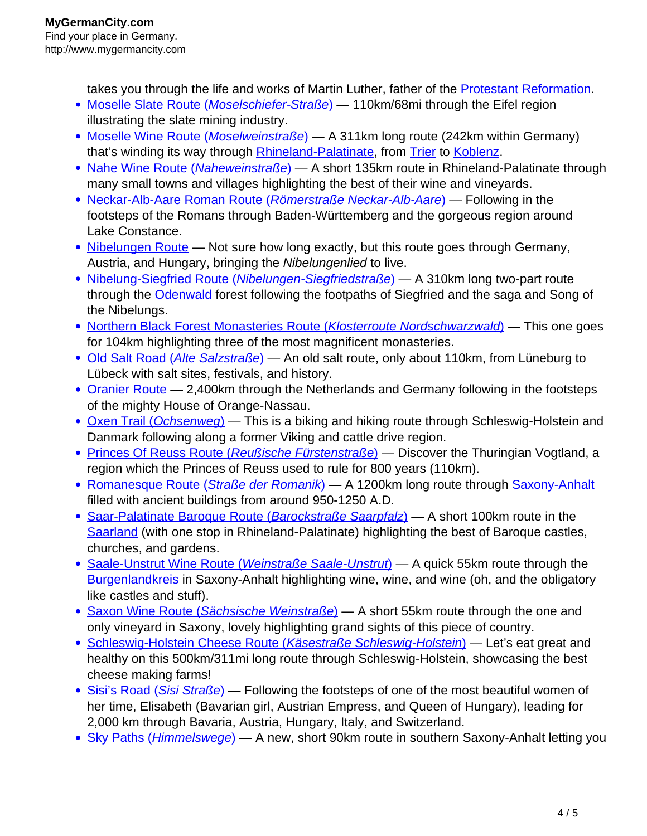takes you through the life and works of Martin Luther, father of the **Protestant Reformation**.

- [Moselle Slate Route \(](http://www.mygermancity.com/moselle-slate-route)[Moselschiefer-Straße](http://www.mygermancity.com/moselle-slate-route)[\)](http://www.mygermancity.com/moselle-slate-route) 110km/68mi through the Eifel region illustrating the slate mining industry.
- [Moselle Wine Route \(](http://www.mygermancity.com/moselle-wine-route)[Moselweinstraße](http://www.mygermancity.com/moselle-wine-route)[\)](http://www.mygermancity.com/moselle-wine-route)  A 311km long route (242km within Germany) that's winding its way through [Rhineland-Palatinate,](http://www.mygermancity.com/rhineland-palatinate) from [Trier](http://www.mygermancity.com/trier) to [Koblenz.](http://www.mygermancity.com/koblenz)
- [Nahe Wine Route \(](http://www.mygermancity.com/nahe-wine-route)[Naheweinstraße](http://www.mygermancity.com/nahe-wine-route)[\)](http://www.mygermancity.com/nahe-wine-route)  A short 135km route in Rhineland-Palatinate through many small towns and villages highlighting the best of their wine and vineyards.
- [Neckar-Alb-Aare Roman Route \(](http://www.mygermancity.com/neckar-alb-aare-roman-route)[Römerstraße Neckar-Alb-Aare](http://www.mygermancity.com/neckar-alb-aare-roman-route)[\)](http://www.mygermancity.com/neckar-alb-aare-roman-route)  Following in the footsteps of the Romans through Baden-Württemberg and the gorgeous region around Lake Constance.
- [Nibelungen Route](http://www.mygermancity.com/nibelungen-route)  Not sure how long exactly, but this route goes through Germany, Austria, and Hungary, bringing the Nibelungenlied to live.
- [Nibelung-Siegfried Route \(](http://www.mygermancity.com/nibelung-siegfried-route)[Nibelungen-Siegfriedstraße](http://www.mygermancity.com/nibelung-siegfried-route)[\)](http://www.mygermancity.com/nibelung-siegfried-route)  A 310km long two-part route through the **Odenwald** forest following the footpaths of Siegfried and the saga and Song of the Nibelungs.
- [Northern Black Forest Monasteries Route \(](http://www.mygermancity.com/northern-black-forest-monasteries-route)[Klosterroute Nordschwarzwald](http://www.mygermancity.com/northern-black-forest-monasteries-route)[\)](http://www.mygermancity.com/northern-black-forest-monasteries-route) This one goes for 104km highlighting three of the most magnificent monasteries.
- [Old Salt Road \(](http://www.mygermancity.com/old-salt-road)[Alte Salzstraße](http://www.mygermancity.com/old-salt-road)[\)](http://www.mygermancity.com/old-salt-road)  An old salt route, only about 110km, from Lüneburg to Lübeck with salt sites, festivals, and history.
- [Oranier Route](http://www.mygermancity.com/oranier-route)  2,400km through the Netherlands and Germany following in the footsteps of the mighty House of Orange-Nassau.
- [Oxen Trail \(](http://www.mygermancity.com/oxen-trail)[Ochsenweg](http://www.mygermancity.com/oxen-trail)[\)](http://www.mygermancity.com/oxen-trail)  This is a biking and hiking route through Schleswig-Holstein and Danmark following along a former Viking and cattle drive region.
- [Princes Of Reuss Route \(](http://www.mygermancity.com/princes-of-reuss-route)[Reußische Fürstenstraße](http://www.mygermancity.com/princes-of-reuss-route)[\)](http://www.mygermancity.com/princes-of-reuss-route)  Discover the Thuringian Vogtland, a region which the Princes of Reuss used to rule for 800 years (110km).
- [Romanesque Route \(](http://www.mygermancity.com/romanesque-route)[Straße der Romanik](http://www.mygermancity.com/romanesque-route)[\)](http://www.mygermancity.com/romanesque-route)  A 1200km long route through [Saxony-Anhalt](http://www.mygermancity.com/saxony-anhalt) filled with ancient buildings from around 950-1250 A.D.
- [Saar-Palatinate Baroque Route \(](http://www.mygermancity.com/saar-palatinate-baroque-route)[Barockstraße Saarpfalz](http://www.mygermancity.com/saar-palatinate-baroque-route)[\)](http://www.mygermancity.com/saar-palatinate-baroque-route) A short 100km route in the [Saarland](http://www.mygermancity.com/saarland) (with one stop in Rhineland-Palatinate) highlighting the best of Baroque castles, churches, and gardens.
- [Saale-Unstrut Wine Route \(](http://www.mygermancity.com/saale-unstrut-wine-route)[Weinstraße Saale-Unstrut](http://www.mygermancity.com/saale-unstrut-wine-route)[\)](http://www.mygermancity.com/saale-unstrut-wine-route) A quick 55km route through the **[Burgenlandkreis](http://www.mygermancity.com/burgenlandkreis)** in Saxony-Anhalt highlighting wine, wine, and wine (oh, and the obligatory like castles and stuff).
- [Saxon Wine Route \(](http://www.mygermancity.com/saxon-wine-route)[Sächsische Weinstraße](http://www.mygermancity.com/saxon-wine-route)[\)](http://www.mygermancity.com/saxon-wine-route)  A short 55km route through the one and only vineyard in Saxony, lovely highlighting grand sights of this piece of country.
- [Schleswig-Holstein Cheese Route \(](http://www.mygermancity.com/schleswig-holstein-cheese-route)[Käsestraße Schleswig-Holstein](http://www.mygermancity.com/schleswig-holstein-cheese-route)[\)](http://www.mygermancity.com/schleswig-holstein-cheese-route) Let's eat great and healthy on this 500km/311mi long route through Schleswig-Holstein, showcasing the best cheese making farms!
- [Sisi's Road \(](http://www.mygermancity.com/sisis-road)[Sisi Straße](http://www.mygermancity.com/sisis-road)[\)](http://www.mygermancity.com/sisis-road)  Following the footsteps of one of the most beautiful women of her time, Elisabeth (Bavarian girl, Austrian Empress, and Queen of Hungary), leading for 2,000 km through Bavaria, Austria, Hungary, Italy, and Switzerland.
- [Sky Paths \(](http://www.mygermancity.com/sky-paths)*[Himmelswege](http://www.mygermancity.com/sky-paths)*[\)](http://www.mygermancity.com/sky-paths) A new, short 90km route in southern Saxony-Anhalt letting you